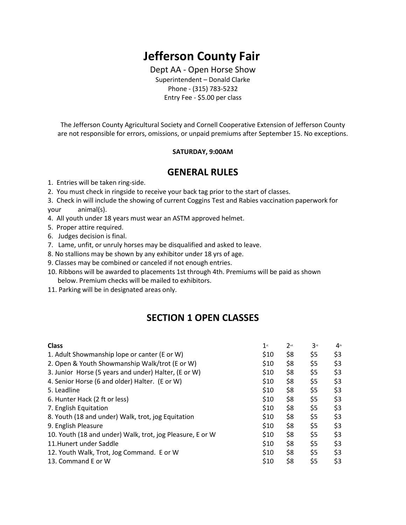# **Jefferson County Fair**

Dept AA - Open Horse Show Superintendent – Donald Clarke Phone - (315) 783-5232 Entry Fee - \$5.00 per class

The Jefferson County Agricultural Society and Cornell Cooperative Extension of Jefferson County are not responsible for errors, omissions, or unpaid premiums after September 15. No exceptions.

#### **SATURDAY, 9:00AM**

### **GENERAL RULES**

1. Entries will be taken ring-side.

- 2. You must check in ringside to receive your back tag prior to the start of classes.
- 3. Check in will include the showing of current Coggins Test and Rabies vaccination paperwork for your animal(s).
- 4. All youth under 18 years must wear an ASTM approved helmet.
- 5. Proper attire required.
- 6. Judges decision is final.
- 7. Lame, unfit, or unruly horses may be disqualified and asked to leave.
- 8. No stallions may be shown by any exhibitor under 18 yrs of age.
- 9. Classes may be combined or canceled if not enough entries.
- 10. Ribbons will be awarded to placements 1st through 4th. Premiums will be paid as shown below. Premium checks will be mailed to exhibitors.
- 11. Parking will be in designated areas only.

## **SECTION 1 OPEN CLASSES**

| <b>Class</b>                                              | $1$ st | $2^{nd}$ | 3 <sup>rd</sup> | $4$ <sup>th</sup> |
|-----------------------------------------------------------|--------|----------|-----------------|-------------------|
| 1. Adult Showmanship lope or canter (E or W)              | \$10   | \$8      | \$5             | \$3               |
| 2. Open & Youth Showmanship Walk/trot (E or W)            | \$10   | \$8      | \$5             | \$3               |
| 3. Junior Horse (5 years and under) Halter, (E or W)      | \$10   | \$8      | \$5             | \$3               |
| 4. Senior Horse (6 and older) Halter. (E or W)            | \$10   | \$8      | \$5             | \$3               |
| 5. Leadline                                               | \$10   | \$8      | \$5             | \$3               |
| 6. Hunter Hack (2 ft or less)                             | \$10   | \$8      | \$5             | \$3               |
| 7. English Equitation                                     | \$10   | \$8      | \$5             | \$3               |
| 8. Youth (18 and under) Walk, trot, jog Equitation        | \$10   | \$8      | \$5             | \$3               |
| 9. English Pleasure                                       | \$10   | \$8      | \$5             | \$3               |
| 10. Youth (18 and under) Walk, trot, jog Pleasure, E or W | \$10   | \$8      | \$5             | \$3               |
| 11. Hunert under Saddle                                   | \$10   | \$8      | \$5             | \$3               |
| 12. Youth Walk, Trot, Jog Command. E or W                 | \$10   | \$8      | \$5             | \$3               |
| 13. Command E or W                                        | \$10   | \$8      | \$5             | \$3               |